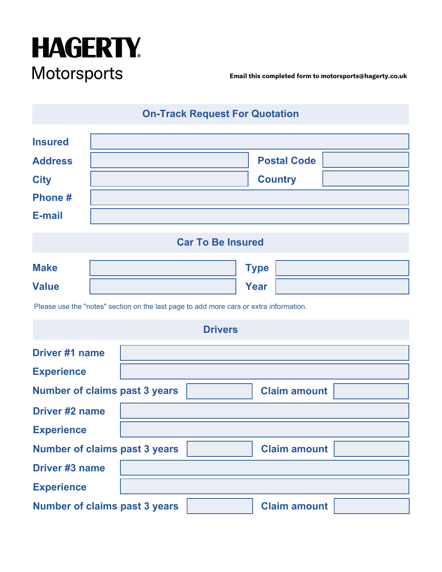

**Email this completed form to motorsports@hagerty.co.uk**

**On-Track Request For Quotation**

| <b>Insured</b>           |                    |  |  |  |  |
|--------------------------|--------------------|--|--|--|--|
| <b>Address</b>           | <b>Postal Code</b> |  |  |  |  |
| <b>City</b>              | <b>Country</b>     |  |  |  |  |
| Phone#                   |                    |  |  |  |  |
| <b>E-mail</b>            |                    |  |  |  |  |
| <b>Car To Be Insured</b> |                    |  |  |  |  |
| <b>Make</b>              | <b>Type</b>        |  |  |  |  |
| <b>Value</b>             | <b>Year</b>        |  |  |  |  |

Please use the "notes" section on the last page to add more cars or extra information.

| <b>Drivers</b>                       |  |  |                     |  |  |  |
|--------------------------------------|--|--|---------------------|--|--|--|
| Driver #1 name                       |  |  |                     |  |  |  |
| <b>Experience</b>                    |  |  |                     |  |  |  |
| <b>Number of claims past 3 years</b> |  |  | <b>Claim amount</b> |  |  |  |
| <b>Driver #2 name</b>                |  |  |                     |  |  |  |
| <b>Experience</b>                    |  |  |                     |  |  |  |
| <b>Number of claims past 3 years</b> |  |  | <b>Claim amount</b> |  |  |  |
| <b>Driver #3 name</b>                |  |  |                     |  |  |  |
| <b>Experience</b>                    |  |  |                     |  |  |  |
| <b>Number of claims past 3 years</b> |  |  | <b>Claim amount</b> |  |  |  |